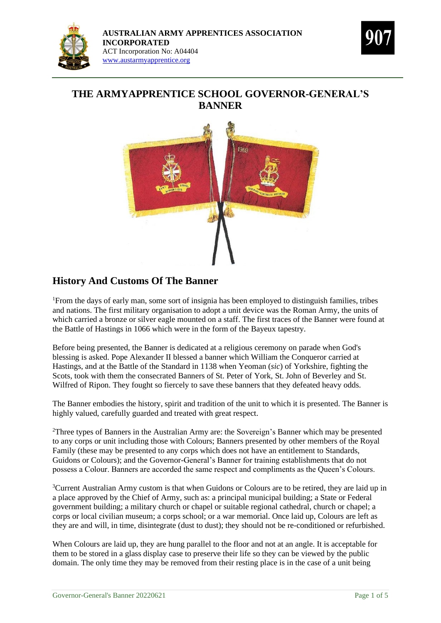



# **THE ARMYAPPRENTICE SCHOOL GOVERNOR-GENERAL'S BANNER**



## **History And Customs Of The Banner**

<sup>1</sup>From the days of early man, some sort of insignia has been employed to distinguish families, tribes and nations. The first military organisation to adopt a unit device was the Roman Army, the units of which carried a bronze or silver eagle mounted on a staff. The first traces of the Banner were found at the Battle of Hastings in 1066 which were in the form of the Bayeux tapestry.

Before being presented, the Banner is dedicated at a religious ceremony on parade when God's blessing is asked. Pope Alexander II blessed a banner which William the Conqueror carried at Hastings, and at the Battle of the Standard in 1138 when Yeoman (*sic*) of Yorkshire, fighting the Scots, took with them the consecrated Banners of St. Peter of York, St. John of Beverley and St. Wilfred of Ripon. They fought so fiercely to save these banners that they defeated heavy odds.

The Banner embodies the history, spirit and tradition of the unit to which it is presented. The Banner is highly valued, carefully guarded and treated with great respect.

<sup>2</sup>Three types of Banners in the Australian Army are: the Sovereign's Banner which may be presented to any corps or unit including those with Colours; Banners presented by other members of the Royal Family (these may be presented to any corps which does not have an entitlement to Standards, Guidons or Colours); and the Governor-General's Banner for training establishments that do not possess a Colour. Banners are accorded the same respect and compliments as the Queen's Colours.

<sup>3</sup>Current Australian Army custom is that when Guidons or Colours are to be retired, they are laid up in a place approved by the Chief of Army, such as: a principal municipal building; a State or Federal government building; a military church or chapel or suitable regional cathedral, church or chapel; a corps or local civilian museum; a corps school; or a war memorial. Once laid up, Colours are left as they are and will, in time, disintegrate (dust to dust); they should not be re-conditioned or refurbished.

When Colours are laid up, they are hung parallel to the floor and not at an angle. It is acceptable for them to be stored in a glass display case to preserve their life so they can be viewed by the public domain. The only time they may be removed from their resting place is in the case of a unit being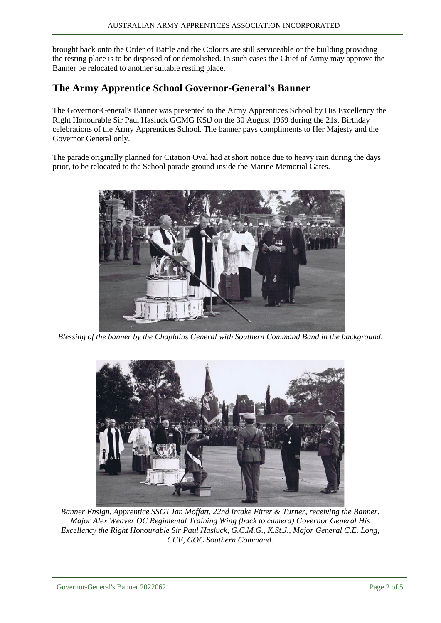brought back onto the Order of Battle and the Colours are still serviceable or the building providing the resting place is to be disposed of or demolished. In such cases the Chief of Army may approve the Banner be relocated to another suitable resting place.

### **The Army Apprentice School Governor-General's Banner**

The Governor-General's Banner was presented to the Army Apprentices School by His Excellency the Right Honourable Sir Paul Hasluck GCMG KStJ on the 30 August 1969 during the 21st Birthday celebrations of the Army Apprentices School. The banner pays compliments to Her Majesty and the Governor General only.

The parade originally planned for Citation Oval had at short notice due to heavy rain during the days prior, to be relocated to the School parade ground inside the Marine Memorial Gates.



*Blessing of the banner by the Chaplains General with Southern Command Band in the background*.



*Banner Ensign, Apprentice SSGT Ian Moffatt, 22nd Intake Fitter & Turner, receiving the Banner. Major Alex Weaver OC Regimental Training Wing (back to camera) Governor General His Excellency the Right Honourable Sir Paul Hasluck, G.C.M.G., K.St.J., Major General C.E. Long, CCE, GOC Southern Command.*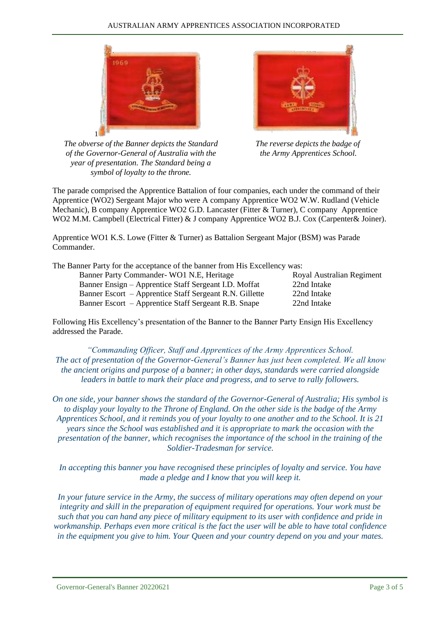

*The obverse of the Banner depicts the Standard of the Governor-General of Australia with the year of presentation. The Standard being a symbol of loyalty to the throne.*

*The reverse depicts the badge of the Army Apprentices School.*

The parade comprised the Apprentice Battalion of four companies, each under the command of their Apprentice (WO2) Sergeant Major who were A company Apprentice WO2 W.W. Rudland (Vehicle Mechanic), B company Apprentice WO2 G.D. Lancaster (Fitter & Turner), C company Apprentice WO2 M.M. Campbell (Electrical Fitter) & J company Apprentice WO2 B.J. Cox (Carpenter& Joiner).

Apprentice WO1 K.S. Lowe (Fitter & Turner) as Battalion Sergeant Major (BSM) was Parade Commander.

The Banner Party for the acceptance of the banner from His Excellency was:

Banner Party Commander- WO1 N.E, Heritage Royal Australian Regiment Banner Ensign – Apprentice Staff Sergeant I.D. Moffat 22nd Intake Banner Escort – Apprentice Staff Sergeant R.N. Gillette 22nd Intake Banner Escort – Apprentice Staff Sergeant R.B. Snape 22nd Intake

Following His Excellency's presentation of the Banner to the Banner Party Ensign His Excellency addressed the Parade.

*"Commanding Officer, Staff and Apprentices of the Army Apprentices School. The act of presentation of the Governor-General's Banner has just been completed. We all know the ancient origins and purpose of a banner; in other days, standards were carried alongside leaders in battle to mark their place and progress, and to serve to rally followers.*

*On one side, your banner shows the standard of the Governor-General of Australia; His symbol is to display your loyalty to the Throne of England. On the other side is the badge of the Army Apprentices School, and it reminds you of your loyalty to one another and to the School. It is 21 years since the School was established and it is appropriate to mark the occasion with the presentation of the banner, which recognises the importance of the school in the training of the Soldier-Tradesman for service.*

*In accepting this banner you have recognised these principles of loyalty and service. You have made a pledge and I know that you will keep it.*

*In your future service in the Army, the success of military operations may often depend on your integrity and skill in the preparation of equipment required for operations. Your work must be such that you can hand any piece of military equipment to its user with confidence and pride in workmanship. Perhaps even more critical is the fact the user will be able to have total confidence in the equipment you give to him. Your Queen and your country depend on you and your mates.*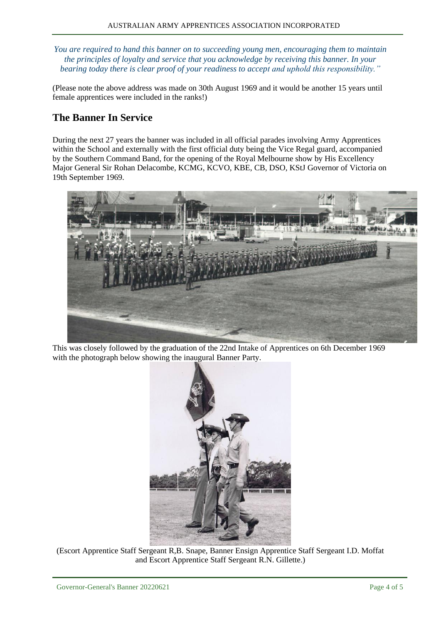*You are required to hand this banner on to succeeding young men, encouraging them to maintain the principles of loyalty and service that you acknowledge by receiving this banner. In your bearing today there is clear proof of your readiness to accept and uphold this responsibility."*

(Please note the above address was made on 30th August 1969 and it would be another 15 years until female apprentices were included in the ranks!)

## **The Banner In Service**

During the next 27 years the banner was included in all official parades involving Army Apprentices within the School and externally with the first official duty being the Vice Regal guard, accompanied by the Southern Command Band, for the opening of the Royal Melbourne show by His Excellency Major General Sir Rohan Delacombe, KCMG, KCVO, KBE, CB, DSO, KStJ Governor of Victoria on 19th September 1969.



This was closely followed by the graduation of the 22nd Intake of Apprentices on 6th December 1969 with the photograph below showing the inaugural Banner Party.



(Escort Apprentice Staff Sergeant R,B. Snape, Banner Ensign Apprentice Staff Sergeant I.D. Moffat and Escort Apprentice Staff Sergeant R.N. Gillette.)